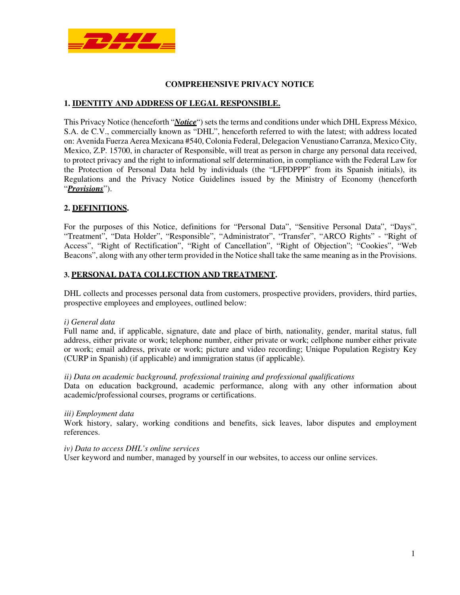

## **COMPREHENSIVE PRIVACY NOTICE**

## **1. IDENTITY AND ADDRESS OF LEGAL RESPONSIBLE.**

This Privacy Notice (henceforth "*Notice*") sets the terms and conditions under which DHL Express México, S.A. de C.V., commercially known as "DHL", henceforth referred to with the latest; with address located on: Avenida Fuerza Aerea Mexicana #540, Colonia Federal, Delegacion Venustiano Carranza, Mexico City, Mexico, Z.P. 15700, in character of Responsible, will treat as person in charge any personal data received, to protect privacy and the right to informational self determination, in compliance with the Federal Law for the Protection of Personal Data held by individuals (the "LFPDPPP" from its Spanish initials), its Regulations and the Privacy Notice Guidelines issued by the Ministry of Economy (henceforth "*Provisions*").

### **2. DEFINITIONS.**

For the purposes of this Notice, definitions for "Personal Data", "Sensitive Personal Data", "Days", "Treatment", "Data Holder", "Responsible", "Administrator", "Transfer", "ARCO Rights" - "Right of Access", "Right of Rectification", "Right of Cancellation", "Right of Objection"; "Cookies", "Web Beacons", along with any other term provided in the Notice shall take the same meaning as in the Provisions.

### **3. PERSONAL DATA COLLECTION AND TREATMENT.**

DHL collects and processes personal data from customers, prospective providers, providers, third parties, prospective employees and employees, outlined below:

### *i) General data*

Full name and, if applicable, signature, date and place of birth, nationality, gender, marital status, full address, either private or work; telephone number, either private or work; cellphone number either private or work; email address, private or work; picture and video recording; Unique Population Registry Key (CURP in Spanish) (if applicable) and immigration status (if applicable).

#### *ii) Data on academic background, professional training and professional qualifications*

Data on education background, academic performance, along with any other information about academic/professional courses, programs or certifications.

#### *iii) Employment data*

Work history, salary, working conditions and benefits, sick leaves, labor disputes and employment references.

#### *iv) Data to access DHL's online services*

User keyword and number, managed by yourself in our websites, to access our online services.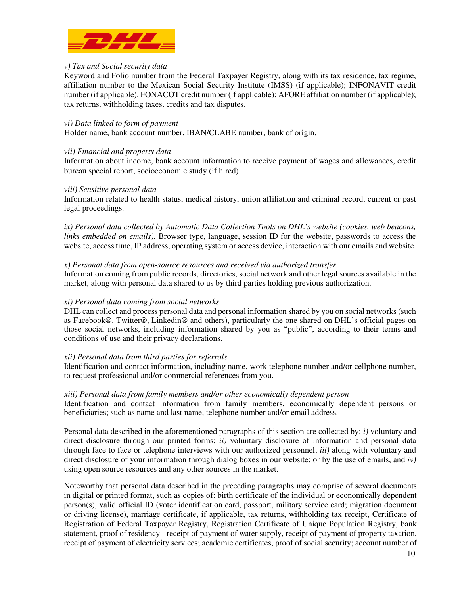

### *v) Tax and Social security data*

Keyword and Folio number from the Federal Taxpayer Registry, along with its tax residence, tax regime, affiliation number to the Mexican Social Security Institute (IMSS) (if applicable); INFONAVIT credit number (if applicable), FONACOT credit number (if applicable); AFORE affiliation number (if applicable); tax returns, withholding taxes, credits and tax disputes.

### *vi) Data linked to form of payment*

Holder name, bank account number, IBAN/CLABE number, bank of origin.

### *vii) Financial and property data*

Information about income, bank account information to receive payment of wages and allowances, credit bureau special report, socioeconomic study (if hired).

### *viii) Sensitive personal data*

Information related to health status, medical history, union affiliation and criminal record, current or past legal proceedings.

*ix) Personal data collected by Automatic Data Collection Tools on DHL's website (cookies, web beacons, links embedded on emails).* Browser type, language, session ID for the website, passwords to access the website, access time, IP address, operating system or access device, interaction with our emails and website.

### *x) Personal data from open-source resources and received via authorized transfer*

Information coming from public records, directories, social network and other legal sources available in the market, along with personal data shared to us by third parties holding previous authorization.

#### *xi) Personal data coming from social networks*

DHL can collect and process personal data and personal information shared by you on social networks (such as Facebook®, Twitter®, Linkedin® and others), particularly the one shared on DHL's official pages on those social networks, including information shared by you as "public", according to their terms and conditions of use and their privacy declarations.

### *xii) Personal data from third parties for referrals*

Identification and contact information, including name, work telephone number and/or cellphone number, to request professional and/or commercial references from you.

#### *xiii) Personal data from family members and/or other economically dependent person*

Identification and contact information from family members, economically dependent persons or beneficiaries; such as name and last name, telephone number and/or email address.

Personal data described in the aforementioned paragraphs of this section are collected by: *i)* voluntary and direct disclosure through our printed forms; *ii)* voluntary disclosure of information and personal data through face to face or telephone interviews with our authorized personnel; *iii)* along with voluntary and direct disclosure of your information through dialog boxes in our website; or by the use of emails, and *iv)* using open source resources and any other sources in the market.

Noteworthy that personal data described in the preceding paragraphs may comprise of several documents in digital or printed format, such as copies of: birth certificate of the individual or economically dependent person(s), valid official ID (voter identification card, passport, military service card; migration document or driving license), marriage certificate, if applicable, tax returns, withholding tax receipt, Certificate of Registration of Federal Taxpayer Registry, Registration Certificate of Unique Population Registry, bank statement, proof of residency - receipt of payment of water supply, receipt of payment of property taxation, receipt of payment of electricity services; academic certificates, proof of social security; account number of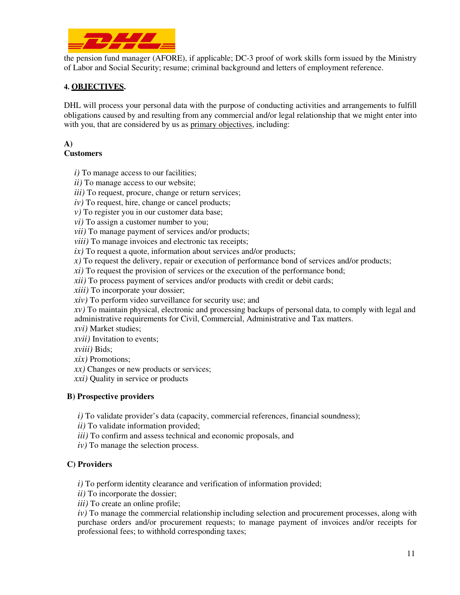

the pension fund manager (AFORE), if applicable; DC-3 proof of work skills form issued by the Ministry of Labor and Social Security; resume; criminal background and letters of employment reference.

# **4. OBJECTIVES.**

DHL will process your personal data with the purpose of conducting activities and arrangements to fulfill obligations caused by and resulting from any commercial and/or legal relationship that we might enter into with you, that are considered by us as primary objectives, including:

# **A)**

## **Customers**

*i*) To manage access to our facilities;

*ii)* To manage access to our website;

*iii*) To request, procure, change or return services;

- *iv*) To request, hire, change or cancel products;
- *v*) To register you in our customer data base;

*vi*) To assign a customer number to you;

*vii*) To manage payment of services and/or products;

*viii*) To manage invoices and electronic tax receipts;

*ix*) To request a quote, information about services and/or products;

*x)* To request the delivery, repair or execution of performance bond of services and/or products;

*xi)* To request the provision of services or the execution of the performance bond;

*xii)* To process payment of services and/or products with credit or debit cards;

*xiii)* To incorporate your dossier;

*xiv)* To perform video surveillance for security use; and

*xv)* To maintain physical, electronic and processing backups of personal data, to comply with legal and administrative requirements for Civil, Commercial, Administrative and Tax matters.

*xvi)* Market studies;

*xvii)* Invitation to events;

*xviii)* Bids;

*xix)* Promotions;

*xx)* Changes or new products or services;

*xxi)* Quality in service or products

## **B) Prospective providers**

*i*) To validate provider's data (capacity, commercial references, financial soundness);

*ii)* To validate information provided;

*iii)* To confirm and assess technical and economic proposals, and

*iv)* To manage the selection process.

## **C) Providers**

*i)* To perform identity clearance and verification of information provided;

*ii)* To incorporate the dossier;

*iii*) To create an online profile;

*iv)* To manage the commercial relationship including selection and procurement processes, along with purchase orders and/or procurement requests; to manage payment of invoices and/or receipts for professional fees; to withhold corresponding taxes;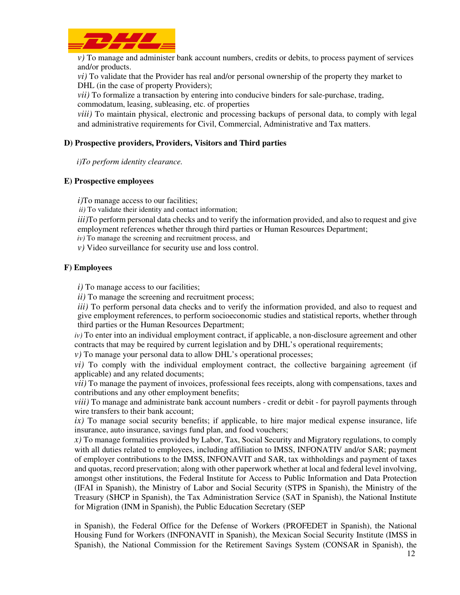

*v)* To manage and administer bank account numbers, credits or debits, to process payment of services and/or products.

*vi)* To validate that the Provider has real and/or personal ownership of the property they market to DHL (in the case of property Providers);

*vii)* To formalize a transaction by entering into conducive binders for sale-purchase, trading, commodatum, leasing, subleasing, etc. of properties

*viii*) To maintain physical, electronic and processing backups of personal data, to comply with legal and administrative requirements for Civil, Commercial, Administrative and Tax matters.

## **D) Prospective providers, Providers, Visitors and Third parties**

 *i)To perform identity clearance.* 

### **E) Prospective employees**

*i*)To manage access to our facilities:

*ii)* To validate their identity and contact information;

*iii*)To perform personal data checks and to verify the information provided, and also to request and give employment references whether through third parties or Human Resources Department;

*iv)* To manage the screening and recruitment process, and

*v)* Video surveillance for security use and loss control.

### **F) Employees**

*i*) To manage access to our facilities;

*ii*) To manage the screening and recruitment process;

*iii*) To perform personal data checks and to verify the information provided, and also to request and give employment references, to perform socioeconomic studies and statistical reports, whether through third parties or the Human Resources Department;

 $iv$ ) To enter into an individual employment contract, if applicable, a non-disclosure agreement and other contracts that may be required by current legislation and by DHL's operational requirements;

*v)* To manage your personal data to allow DHL's operational processes;

*vi)* To comply with the individual employment contract, the collective bargaining agreement (if applicable) and any related documents;

*vii*) To manage the payment of invoices, professional fees receipts, along with compensations, taxes and contributions and any other employment benefits;

*viii)* To manage and administrate bank account numbers - credit or debit - for payroll payments through wire transfers to their bank account;

*ix)* To manage social security benefits; if applicable, to hire major medical expense insurance, life insurance, auto insurance, savings fund plan, and food vouchers;

*x)* To manage formalities provided by Labor, Tax, Social Security and Migratory regulations, to comply with all duties related to employees, including affiliation to IMSS, INFONATIV and/or SAR; payment of employer contributions to the IMSS, INFONAVIT and SAR, tax withholdings and payment of taxes and quotas, record preservation; along with other paperwork whether at local and federal level involving, amongst other institutions, the Federal Institute for Access to Public Information and Data Protection (IFAI in Spanish), the Ministry of Labor and Social Security (STPS in Spanish), the Ministry of the Treasury (SHCP in Spanish), the Tax Administration Service (SAT in Spanish), the National Institute for Migration (INM in Spanish), the Public Education Secretary (SEP

in Spanish), the Federal Office for the Defense of Workers (PROFEDET in Spanish), the National Housing Fund for Workers (INFONAVIT in Spanish), the Mexican Social Security Institute (IMSS in Spanish), the National Commission for the Retirement Savings System (CONSAR in Spanish), the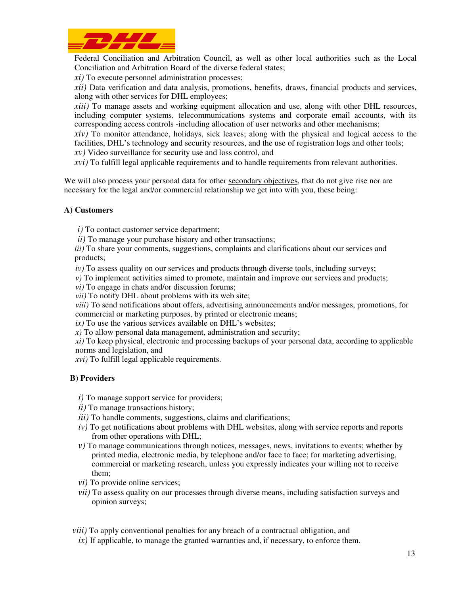

Federal Conciliation and Arbitration Council, as well as other local authorities such as the Local Conciliation and Arbitration Board of the diverse federal states;

*xi)* To execute personnel administration processes;

*xii)* Data verification and data analysis, promotions, benefits, draws, financial products and services, along with other services for DHL employees;

*xiii)* To manage assets and working equipment allocation and use, along with other DHL resources, including computer systems, telecommunications systems and corporate email accounts, with its corresponding access controls -including allocation of user networks and other mechanisms;

*xiv)* To monitor attendance, holidays, sick leaves; along with the physical and logical access to the facilities, DHL's technology and security resources, and the use of registration logs and other tools;

- *xv)* Video surveillance for security use and loss control, and
- *xvi)* To fulfill legal applicable requirements and to handle requirements from relevant authorities.

We will also process your personal data for other secondary objectives, that do not give rise nor are necessary for the legal and/or commercial relationship we get into with you, these being:

## **A) Customers**

*i*) To contact customer service department;

*ii*) To manage your purchase history and other transactions;

*iii*) To share your comments, suggestions, complaints and clarifications about our services and products;

*iv*) To assess quality on our services and products through diverse tools, including surveys;

*v)* To implement activities aimed to promote, maintain and improve our services and products;

*vi*) To engage in chats and/or discussion forums;

*vii)* To notify DHL about problems with its web site;

*viii)* To send notifications about offers, advertising announcements and/or messages, promotions, for commercial or marketing purposes, by printed or electronic means;

*ix*) To use the various services available on DHL's websites;

*) To allow personal data management, administration and security;* 

*xi)* To keep physical, electronic and processing backups of your personal data, according to applicable norms and legislation, and

*xvi)* To fulfill legal applicable requirements.

## **B) Providers**

*i)* To manage support service for providers;

*ii)* To manage transactions history;

*iii*) To handle comments, suggestions, claims and clarifications;

- *iv)* To get notifications about problems with DHL websites, along with service reports and reports from other operations with DHL;
- *v)* To manage communications through notices, messages, news, invitations to events; whether by printed media, electronic media, by telephone and/or face to face; for marketing advertising, commercial or marketing research, unless you expressly indicates your willing not to receive them;
- *vi)* To provide online services;
- *vii)* To assess quality on our processes through diverse means, including satisfaction surveys and opinion surveys;
- *viii)* To apply conventional penalties for any breach of a contractual obligation, and
- *ix)* If applicable, to manage the granted warranties and, if necessary, to enforce them.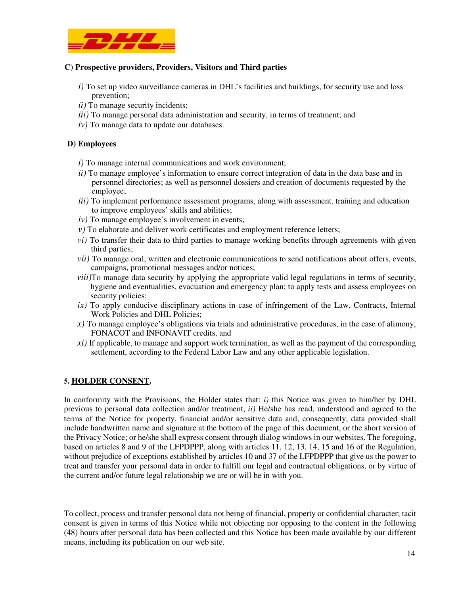

### **C) Prospective providers, Providers, Visitors and Third parties**

- *i)* To set up video surveillance cameras in DHL's facilities and buildings, for security use and loss prevention;
- *ii)* To manage security incidents;
- *iii)* To manage personal data administration and security, in terms of treatment; and
- *iv)* To manage data to update our databases.

### **D) Employees**

- *i*) To manage internal communications and work environment;
- *ii)* To manage employee's information to ensure correct integration of data in the data base and in personnel directories; as well as personnel dossiers and creation of documents requested by the employee;
- *iii*) To implement performance assessment programs, along with assessment, training and education to improve employees' skills and abilities;
- *iv*) To manage employee's involvement in events;
- *v*) To elaborate and deliver work certificates and employment reference letters;
- *vi)* To transfer their data to third parties to manage working benefits through agreements with given third parties;
- *vii*) To manage oral, written and electronic communications to send notifications about offers, events, campaigns, promotional messages and/or notices;
- *viii*)To manage data security by applying the appropriate valid legal regulations in terms of security, hygiene and eventualities, evacuation and emergency plan; to apply tests and assess employees on security policies;
- *ix)* To apply conducive disciplinary actions in case of infringement of the Law, Contracts, Internal Work Policies and DHL Policies;
- *x)* To manage employee's obligations via trials and administrative procedures, in the case of alimony, FONACOT and INFONAVIT credits, and
- *xi)* If applicable, to manage and support work termination, as well as the payment of the corresponding settlement, according to the Federal Labor Law and any other applicable legislation.

### **5. HOLDER CONSENT.**

In conformity with the Provisions, the Holder states that: *i*) this Notice was given to him/her by DHL previous to personal data collection and/or treatment, *ii)* He/she has read, understood and agreed to the terms of the Notice for property, financial and/or sensitive data and, consequently, data provided shall include handwritten name and signature at the bottom of the page of this document, or the short version of the Privacy Notice; or he/she shall express consent through dialog windows in our websites. The foregoing, based on articles 8 and 9 of the LFPDPPP, along with articles 11, 12, 13, 14, 15 and 16 of the Regulation, without prejudice of exceptions established by articles 10 and 37 of the LFPDPPP that give us the power to treat and transfer your personal data in order to fulfill our legal and contractual obligations, or by virtue of the current and/or future legal relationship we are or will be in with you.

To collect, process and transfer personal data not being of financial, property or confidential character; tacit consent is given in terms of this Notice while not objecting nor opposing to the content in the following (48) hours after personal data has been collected and this Notice has been made available by our different means, including its publication on our web site.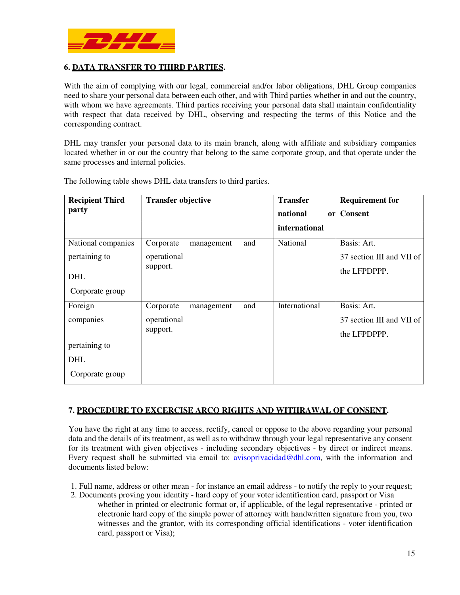

## **6. DATA TRANSFER TO THIRD PARTIES.**

With the aim of complying with our legal, commercial and/or labor obligations, DHL Group companies need to share your personal data between each other, and with Third parties whether in and out the country, with whom we have agreements. Third parties receiving your personal data shall maintain confidentiality with respect that data received by DHL, observing and respecting the terms of this Notice and the corresponding contract.

DHL may transfer your personal data to its main branch, along with affiliate and subsidiary companies located whether in or out the country that belong to the same corporate group, and that operate under the same processes and internal policies.

| <b>Recipient Third</b> | <b>Transfer objective</b> |     | <b>Transfer</b> | <b>Requirement for</b>    |
|------------------------|---------------------------|-----|-----------------|---------------------------|
| party                  |                           |     | national        | or Consent                |
|                        |                           |     | international   |                           |
| National companies     | Corporate<br>management   | and | National        | Basis: Art.               |
| pertaining to          | operational               |     |                 | 37 section III and VII of |
| <b>DHL</b>             | support.                  |     |                 | the LFPDPPP.              |
| Corporate group        |                           |     |                 |                           |
| Foreign                | Corporate<br>management   | and | International   | Basis: Art.               |
| companies              | operational               |     |                 | 37 section III and VII of |
|                        | support.                  |     |                 | the LFPDPPP.              |
| pertaining to          |                           |     |                 |                           |
| <b>DHL</b>             |                           |     |                 |                           |
| Corporate group        |                           |     |                 |                           |

The following table shows DHL data transfers to third parties.

### **7. PROCEDURE TO EXCERCISE ARCO RIGHTS AND WITHRAWAL OF CONSENT.**

You have the right at any time to access, rectify, cancel or oppose to the above regarding your personal data and the details of its treatment, as well as to withdraw through your legal representative any consent for its treatment with given objectives - including secondary objectives - by direct or indirect means. Every request shall be submitted via email to: avisoprivacidad@dhl.com, with the information and documents listed below:

- 1. Full name, address or other mean for instance an email address to notify the reply to your request;
- 2. Documents proving your identity hard copy of your voter identification card, passport or Visa whether in printed or electronic format or, if applicable, of the legal representative - printed or electronic hard copy of the simple power of attorney with handwritten signature from you, two witnesses and the grantor, with its corresponding official identifications - voter identification card, passport or Visa);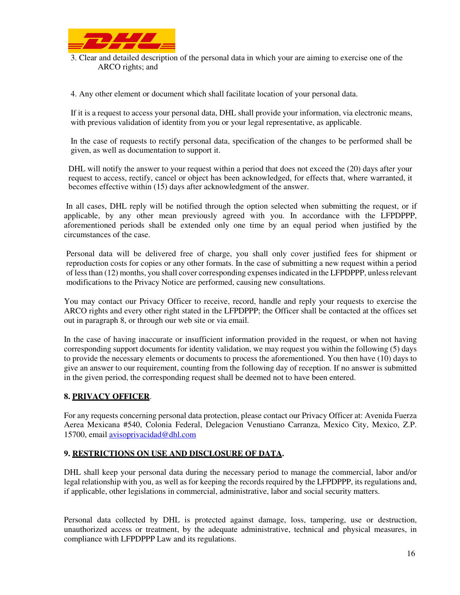

3. Clear and detailed description of the personal data in which your are aiming to exercise one of the ARCO rights; and

4. Any other element or document which shall facilitate location of your personal data.

If it is a request to access your personal data, DHL shall provide your information, via electronic means, with previous validation of identity from you or your legal representative, as applicable.

In the case of requests to rectify personal data, specification of the changes to be performed shall be given, as well as documentation to support it.

DHL will notify the answer to your request within a period that does not exceed the (20) days after your request to access, rectify, cancel or object has been acknowledged, for effects that, where warranted, it becomes effective within (15) days after acknowledgment of the answer.

 In all cases, DHL reply will be notified through the option selected when submitting the request, or if applicable, by any other mean previously agreed with you. In accordance with the LFPDPPP, aforementioned periods shall be extended only one time by an equal period when justified by the circumstances of the case.

Personal data will be delivered free of charge, you shall only cover justified fees for shipment or reproduction costs for copies or any other formats. In the case of submitting a new request within a period of less than (12) months, you shall cover corresponding expenses indicated in the LFPDPPP, unless relevant modifications to the Privacy Notice are performed, causing new consultations.

You may contact our Privacy Officer to receive, record, handle and reply your requests to exercise the ARCO rights and every other right stated in the LFPDPPP; the Officer shall be contacted at the offices set out in paragraph 8, or through our web site or via email.

In the case of having inaccurate or insufficient information provided in the request, or when not having corresponding support documents for identity validation, we may request you within the following (5) days to provide the necessary elements or documents to process the aforementioned. You then have (10) days to give an answer to our requirement, counting from the following day of reception. If no answer is submitted in the given period, the corresponding request shall be deemed not to have been entered.

## **8. PRIVACY OFFICER**.

For any requests concerning personal data protection, please contact our Privacy Officer at: Avenida Fuerza Aerea Mexicana #540, Colonia Federal, Delegacion Venustiano Carranza, Mexico City, Mexico, Z.P. 15700, email avisoprivacidad@dhl.com

### **9. RESTRICTIONS ON USE AND DISCLOSURE OF DATA.**

DHL shall keep your personal data during the necessary period to manage the commercial, labor and/or legal relationship with you, as well as for keeping the records required by the LFPDPPP, its regulations and, if applicable, other legislations in commercial, administrative, labor and social security matters.

Personal data collected by DHL is protected against damage, loss, tampering, use or destruction, unauthorized access or treatment, by the adequate administrative, technical and physical measures, in compliance with LFPDPPP Law and its regulations.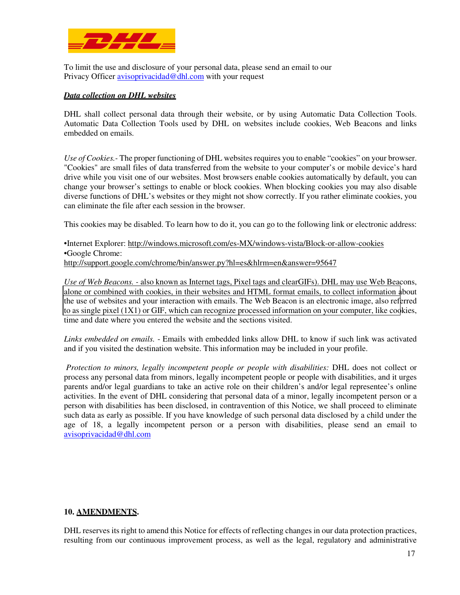

To limit the use and disclosure of your personal data, please send an email to our Privacy Officer avisoprivacidad@dhl.com with your request

### *Data collection on DHL websites*

DHL shall collect personal data through their website, or by using Automatic Data Collection Tools. Automatic Data Collection Tools used by DHL on websites include cookies, Web Beacons and links embedded on emails.

*Use of Cookies.-* The proper functioning of DHL websites requires you to enable "cookies" on your browser. "Cookies" are small files of data transferred from the website to your computer's or mobile device's hard drive while you visit one of our websites. Most browsers enable cookies automatically by default, you can change your browser's settings to enable or block cookies. When blocking cookies you may also disable diverse functions of DHL's websites or they might not show correctly. If you rather eliminate cookies, you can eliminate the file after each session in the browser.

This cookies may be disabled. To learn how to do it, you can go to the following link or electronic address:

•Internet Explorer: http://windows.microsoft.com/es-MX/windows-vista/Block-or-allow-cookies •Google Chrome: http://support.google.com/chrome/bin/answer.py?hl=es&hlrm=en&answer=95647

*Use of Web Beacons. -* also known as Internet tags, Pixel tags and clearGIFs). DHL may use Web Beacons, alone or combined with cookies, in their websites and HTML format emails, to collect information about the use of websites and your interaction with emails. The Web Beacon is an electronic image, also referred to as single pixel (1X1) or GIF, which can recognize processed information on your computer, like cookies, time and date where you entered the website and the sections visited.

*Links embedded on emails.* - Emails with embedded links allow DHL to know if such link was activated and if you visited the destination website. This information may be included in your profile.

*Protection to minors, legally incompetent people or people with disabilities:* DHL does not collect or process any personal data from minors, legally incompetent people or people with disabilities, and it urges parents and/or legal guardians to take an active role on their children's and/or legal representee's online activities. In the event of DHL considering that personal data of a minor, legally incompetent person or a person with disabilities has been disclosed, in contravention of this Notice, we shall proceed to eliminate such data as early as possible. If you have knowledge of such personal data disclosed by a child under the age of 18, a legally incompetent person or a person with disabilities, please send an email to avisoprivacidad@dhl.com

### **10. AMENDMENTS.**

DHL reserves its right to amend this Notice for effects of reflecting changes in our data protection practices, resulting from our continuous improvement process, as well as the legal, regulatory and administrative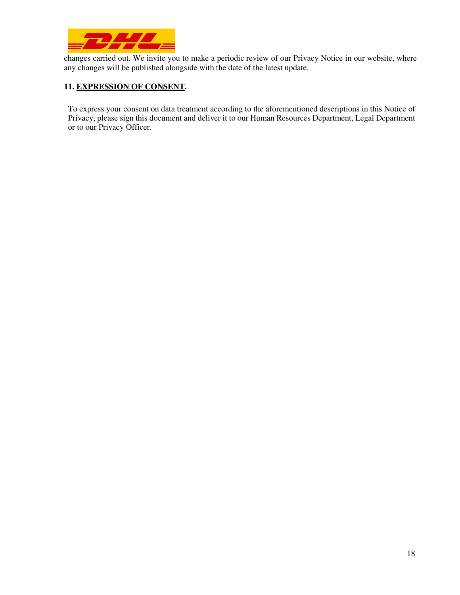

changes carried out. We invite you to make a periodic review of our Privacy Notice in our website, where any changes will be published alongside with the date of the latest update.

# **11. EXPRESSION OF CONSENT.**

To express your consent on data treatment according to the aforementioned descriptions in this Notice of Privacy, please sign this document and deliver it to our Human Resources Department, Legal Department or to our Privacy Officer.